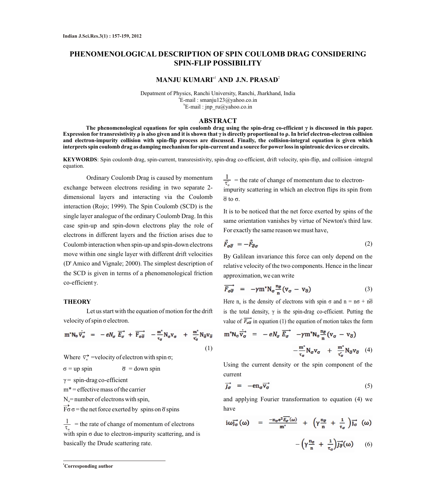# **PHENOMENOLOGICAL DESCRIPTION OF SPIN COULOMB DRAG CONSIDERING SPIN-FLIP POSSIBILITY**

## **MANJU KUMARI<sup>a1</sup> AND J.N. PRASAD<sup>2</sup>**

Depatment of Physics, Ranchi University, Ranchi, Jharkhand, India a E-mail : smanju123@yahoo.co.in b E-mail : jnp\_ru@yahoo.co.in

#### **ABSTRACT**

**The phenomenological equations for spin coulomb drag using the spin-drag co-efficient γ is discussed in this paper. Expression for transresistivity ρ is also given and it is shown that γ is directly proportional to ρ. In brief electron-electron collision and electron-impurity collision with spin-flip process are discussed. Finally, the collision-integral equation is given which interprets spin coulomb drag as damping mechanism for spin-current and a source forpower loss in spintronic devices or circuits.** 

**KEYWORDS**: Spin coulomb drag, spin-current, transresistivity, spin-drag co-efficient, drift velocity, spin-flip, and collision -integral equation.

Ordinary Coulomb Drag is caused by momentum exchange between electrons residing in two separate 2 dimensional layers and interacting via the Coulomb interaction (Rojo; 1999). The Spin Coulomb (SCD) is the single layer analogue of the ordinary Coulomb Drag. In this case spin-up and spin-down electrons play the role of electrons in different layers and the friction arises due to Coulomb interaction when spin-up and spin-down electrons move within one single layer with different drift velocities (D' Amico and Vignale; 2000). The simplest description of the SCD is given in terms of a phenomenological friction co-efficient γ.

#### **THEORY**

Let us start with the equation of motion for the drift velocity of spin σ electron.

$$
m^*N_{\sigma}\overrightarrow{v_{\sigma}} = -eN_{\sigma}\overrightarrow{E_{\sigma}} + \overrightarrow{F_{\sigma\overline{\sigma}}} - \frac{m^*}{\tau_{\sigma}}N_{\sigma}v_{\sigma} + \frac{m^*}{\tau_{\sigma}}N_{\overline{\sigma}}v_{\overline{\sigma}}
$$
(1)

Where  $\overrightarrow{v_{\sigma}}$  =velocity of electron with spin  $\sigma$ ;

$$
\sigma = \text{up spin} \qquad \qquad \overline{\sigma} = \text{down spin}
$$

 $\gamma$  = spin-drag co-efficient

 $m^*$  = effective mass of the carrier

$$
N_{\circ}
$$
 = number of electrons with spin,

 $\overrightarrow{F\sigma}\sigma$  = the net force exerted by spins on  $\overrightarrow{\sigma}$  spins

 $\frac{1}{\tau}$  = the rate of change of momentum of electrons with spin  $\sigma$  due to electron-impurity scattering, and is basically the Drude scattering rate.

 $\frac{1}{\tau}$  = the rate of change of momentum due to electronimpurity scattering in which an electron flips its spin from σ to σ.

It is to be noticed that the net force exerted by spins of the same orientation vanishes by virtue of Newton's third law. For exactly the same reason we must have,

$$
\vec{F}_{\sigma\overline{\sigma}} = -\vec{F}_{\overline{\sigma}\sigma} \tag{2}
$$

By Galilean invariance this force can only depend on the relative velocity of the two components. Hence in the linear approximation, we can write

$$
\overrightarrow{F_{\sigma\overline{\sigma}}} = -\gamma m^* N_{\sigma} \frac{n_{\overline{\sigma}}}{n} (v_{\sigma} - v_{\overline{\sigma}})
$$
 (3)

Here  $n_{\sigma}$  is the density of electrons with spin  $\sigma$  and  $n = n\sigma + n\overline{\sigma}$ is the total density,  $\gamma$  is the spin-drag co-efficient. Putting the value of  $\overrightarrow{F_{\sigma\sigma}}$  in equation (1) the equation of motion takes the form

$$
m^*N_{\sigma}\overrightarrow{v_{\sigma}} = -eN_{\sigma}\overrightarrow{E_{\sigma}} - \gamma m^*N_{\sigma}\frac{n_{\overline{\sigma}}}{n}(v_{\sigma} - v_{\overline{\sigma}})
$$

$$
-\frac{m^*}{\tau_{\sigma}}N_{\sigma}v_{\sigma} + \frac{m^*}{\tau_{\sigma}'}N_{\overline{\sigma}}v_{\overline{\sigma}} \quad (4)
$$

Using the current density or the spin component of the current

$$
\vec{J}\vec{\sigma} = -\mathbf{e}\mathbf{n}_{\sigma}\vec{\mathbf{v}}_{\sigma}^{\dagger} \tag{5}
$$

and applying Fourier transformation to equation (4) we have

$$
i\omega_{J\sigma}^{-1}(\omega) = \frac{-n_{\sigma}e^{2}\overline{E_{\sigma}}(\omega)}{m^{*}} + \left(\gamma \frac{n_{\overline{\sigma}}}{n} + \frac{1}{\tau_{\sigma}}\right)\overrightarrow{J_{\sigma}}(\omega) - \left(\gamma \frac{n_{\sigma}}{n} + \frac{1}{\tau_{\sigma}}\right)\overrightarrow{J_{\overline{\sigma}}}(\omega) \qquad (6)
$$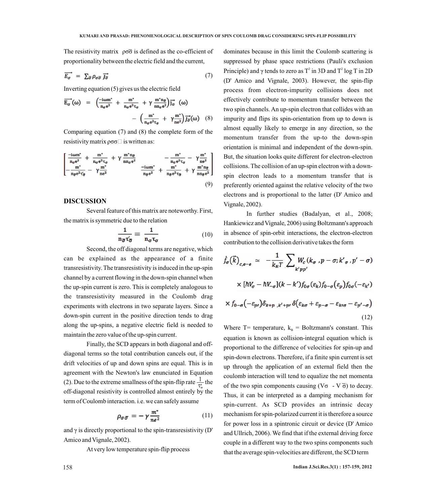The resistivity matrix  $\rho \sigma \overline{\sigma}$  is defined as the co-efficient of proportionality between the electric field and the current,

$$
\overrightarrow{E_{\sigma}} = \sum_{\overrightarrow{\sigma}} \rho_{\sigma \overrightarrow{\sigma}} \overrightarrow{J_{\overrightarrow{\sigma}}} \tag{7}
$$

Inverting equation (5) gives us the electric field

$$
\overrightarrow{E_{\sigma}}(\omega) = \left(\frac{-i\omega m^*}{n_{\sigma}e^2} + \frac{m^*}{n_{\sigma}e^2\tau_{\sigma}} + \gamma \frac{m^*n_{\overline{\sigma}}}{n n_{\sigma}e^2}\right) \overrightarrow{J_{\sigma}}(\omega) \n- \left(\frac{m^*}{n_{\sigma}e^2\tau_{\sigma}} + \gamma \frac{m^*}{n e^2}\right) \overrightarrow{J_{\sigma}}(\omega) \quad (8)
$$

Comparing equation (7) and (8) the complete form of the resistivity matrix  $\rho \sigma \sigma$  is written as:

$$
\begin{bmatrix}\n\frac{-i\omega m^*}{n_{\sigma}e^2} + \frac{m^*}{n_{\sigma}e^2\tau_{\sigma}} + \gamma \frac{m^*n_{\overline{\sigma}}}{n_{\sigma}e^2} & -\frac{m^*}{n_{\sigma}e^2\tau_{\sigma}} - \gamma \frac{m^*}{n_{\overline{\sigma}}^2} \\
-\frac{m^*}{n_{\overline{\sigma}}e^2\tau_{\overline{\sigma}}} - \gamma \frac{m^*}{n_{\overline{\sigma}}^2} & \frac{-i\omega m^*}{n_{\overline{\sigma}}e^2} + \frac{m^*}{n_{\overline{\sigma}}e^2\tau_{\overline{\sigma}}} + \gamma \frac{m^*n_{\overline{\sigma}}}{n_{\overline{\sigma}}e^2}\n\end{bmatrix}
$$
\n(9)

## **DISCUSSION**

Several feature of this matrix are noteworthy. First, the matrix is symmetric due to the relation

$$
\frac{1}{n_{\overline{\sigma}}\tau_{\overline{\sigma}}} = \frac{1}{n_{\sigma}\tau_{\sigma}}
$$
(10)

Second, the off diagonal terms are negative, which

can be explained as the appearance of a finite transresistivity. The transresistivity is induced in the up-spin channel by a current flowing in the down-spin channel when the up-spin current is zero. This is completely analogous to the transresistivity measured in the Coulomb drag experiments with electrons in two separate layers. Since a down-spin current in the positive direction tends to drag along the up-spins, a negative electric field is needed to maintain the zero value of the up-spin current.

Finally, the SCD appears in both diagonal and offdiagonal terms so the total contribution cancels out, if the drift velocities of up and down spins are equal. This is in agreement with the Newton's law enunciated in Equation (2). Due to the extreme smallness of the spin-flip rate  $\frac{1}{\tau'}$  the off-diagonal resistivity is controlled almost entirely by the term of Coulomb interaction. i.e. we can safely assume

$$
\rho_{\sigma\bar{\sigma}} = -\gamma \frac{m^*}{ne^2} \tag{11}
$$

and  $\gamma$  is directly proportional to the spin-transresistivity (D' Amico and Vignale, 2002).

At very low temperature spin-flip process

dominates because in this limit the Coulomb scattering is suppressed by phase space restrictions (Pauli's exclusion Principle) and  $\gamma$  tends to zero as T<sup>2</sup> in 3D and T<sup>2</sup> log T in 2D (D' Amico and Vignale, 2003). However, the spin-flip process from electron-impurity collisions does not effectively contribute to momentum transfer between the two spin channels. An up-spin electron that collides with an impurity and flips its spin-orientation from up to down is almost equally likely to emerge in any direction, so the momentum transfer from the up-to the down-spin orientation is minimal and independent of the down-spin. But, the situation looks quite different for electron-electron collisions. The collision of an up-spin electron with a downspin electron leads to a momentum transfer that is preferently oriented against the relative velocity of the two electrons and is proportional to the latter (D' Amico and Vignale, 2002).

In further studies (Badalyan, et al., 2008; Hankiewicz and Vignale, 2006) using Boltzmann's approach in absence of spin-orbit interactions, the electron-electron contribution to the collision derivative takes the form

$$
\dot{f}_{\sigma}(\vec{k})_{c,e-e} \simeq -\frac{1}{k_{B}T} \sum_{k'pp'} W_{c}(k_{\sigma},p-\sigma;k'_{\sigma},p'-\sigma)
$$

$$
\times [hV_{\sigma}-hV_{-\sigma}](k-k')f_{0\sigma}(\varepsilon_{k})f_{0-\sigma}(\varepsilon_{p})f_{0\sigma}(-\varepsilon_{k'})
$$

$$
\times f_{0-\sigma}(-\varepsilon_{p'})\delta_{k+p,k'+p'}\delta(\varepsilon_{k\sigma}+\varepsilon_{p-\sigma}-\varepsilon_{k'\sigma}-\varepsilon_{p'-\sigma})
$$
(12)

Where  $T=$  temperature,  $k_B =$  Boltzmann's constant. This equation is known as collision-integral equation which is proportional to the difference of velocities for spin-up and spin-down electrons. Therefore, if a finite spin current is set up through the application of an external field then the coulomb interaction will tend to equalize the net momenta of the two spin components causing  $(V\sigma - V\overline{\sigma})$  to decay. Thus, it can be interpreted as a damping mechanism for spin-current. As SCD provides an intrinsic decay mechanism for spin-polarized current it is therefore a source for power loss in a spintronic circuit or device (D' Amico and Ullrich, 2006). We find that if the external driving force couple in a different way to the two spins components such that the average spin-velocities are different, the SCD term